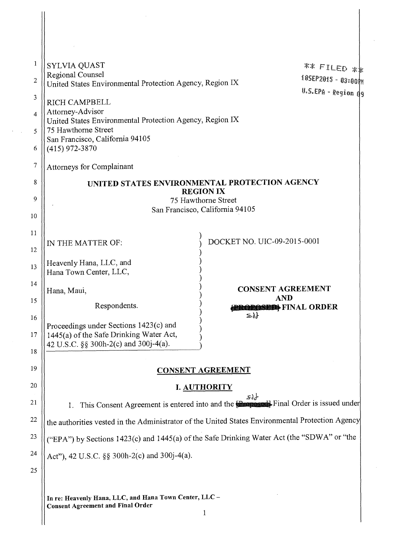| 1<br>$\overline{2}$ | <b>SYLVIA QUAST</b><br>Regional Counsel<br>United States Environmental Protection Agency, Region IX |                                           | ** FILED **<br>185EP2015 - 03:00M |
|---------------------|-----------------------------------------------------------------------------------------------------|-------------------------------------------|-----------------------------------|
| 3                   | <b>RICH CAMPBELL</b>                                                                                |                                           | U.S.EPA - Region d9               |
| 4                   | Attorney-Advisor<br>United States Environmental Protection Agency, Region IX                        |                                           |                                   |
| 5                   | 75 Hawthorne Street                                                                                 |                                           |                                   |
| 6                   | San Francisco, California 94105<br>$(415)$ 972-3870                                                 |                                           |                                   |
| 7                   | <b>Attorneys for Complainant</b>                                                                    |                                           |                                   |
| 8                   | UNITED STATES ENVIRONMENTAL PROTECTION AGENCY                                                       |                                           |                                   |
| 9                   | <b>REGION IX</b><br>75 Hawthorne Street                                                             |                                           |                                   |
| 10                  |                                                                                                     | San Francisco, California 94105           |                                   |
| 11                  |                                                                                                     |                                           |                                   |
| 12                  | IN THE MATTER OF:                                                                                   | DOCKET NO. UIC-09-2015-0001               |                                   |
| 13                  | Heavenly Hana, LLC, and<br>Hana Town Center, LLC,                                                   |                                           |                                   |
| 14                  | Hana, Maui,                                                                                         | <b>CONSENT AGREEMENT</b>                  |                                   |
| 15                  | Respondents.                                                                                        | <b>AND</b><br><b>BROBOSED</b> FINAL ORDER |                                   |
| 16                  |                                                                                                     | $\{a\}$                                   |                                   |
| $17\,$              | Proceedings under Sections 1423(c) and<br>1445(a) of the Safe Drinking Water Act,                   |                                           |                                   |
| 18                  | 42 U.S.C. §§ 300h-2(c) and 300j-4(a).                                                               |                                           |                                   |
| 19                  | <b>CONSENT AGREEMENT</b>                                                                            |                                           |                                   |
| 20                  |                                                                                                     | <b>I. AUTHORITY</b>                       |                                   |
| 21                  | This Consent Agreement is entered into and the <b>Recognoscity</b> Final Order is issued under      | $\mathcal{S}$ dr                          |                                   |
| 22                  | the authorities vested in the Administrator of the United States Environmental Protection Agency    |                                           |                                   |
| 23                  | ("EPA") by Sections 1423(c) and 1445(a) of the Safe Drinking Water Act (the "SDWA" or "the          |                                           |                                   |
| 24                  | Act"), 42 U.S.C. §§ 300h-2(c) and 300j-4(a).                                                        |                                           |                                   |
| 25                  |                                                                                                     |                                           |                                   |
|                     |                                                                                                     |                                           |                                   |
|                     | In re: Heavenly Hana, LLC, and Hana Town Center, LLC-                                               |                                           |                                   |

 $\bar{\beta}$ 

1

Consent Agreement and Final Order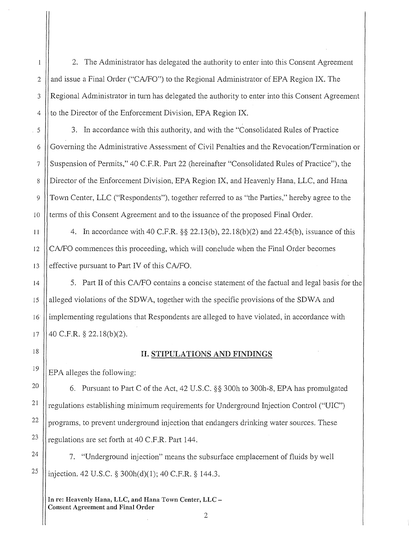2. The Administrator has delegated the authority to enter into this Consent Agreement and issue a Final Order ("CA/FO") to the Regional Administrator of EPA Region IX. The Regional Administrator in turn has delegated the authority to enter into this Consent Agreement to the Director of the Enforcement Division, EPA Region IX.

3. In accordance with this authority, and with the "Consolidated Rules of Practice Governing the Administrative Assessment of Civil Penalties and the Revocation/Termination or Suspension of Permits," 40 C.F.R. Part 22 (hereinafter "Consolidated Rules of Practice"), the Director of the Enforcement Division, EPA Region IX, and Heavenly Hana, LLC, and Hana Town Center, LLC ("Respondents"), together referred to as "the Parties," hereby agree to the terms of this Consent Agreement and to the issuance of the proposed Final Order.

4. In accordance with 40 C.F.R. §§ 22.13(b), 22.18(b)(2) and 22.45(b), issuance of this CA/FO commences this proceeding, which will conclude when the Final Order becomes effective pursuant to Part IV of this CA/FO.

5. Part II of this CA/FO contains a concise statement of the factual and legal basis for the alleged violations of the SDWA, together with the specific provisions of the SDWA and implementing regulations that Respondents are alleged to have violated, in accordance with 40 C.F.R. § 22.18(b)(2).

# 18

# II. STIPULATIONS AND FINDINGS

EPA alleges the following:

6. Pursuant to Part C of the Act, 42 U.S.C. §§ 300h to 300h-8, EPA has promulgated regulations establishing minimum requirements for Underground Injection Control ("UIC") programs, to prevent underground injection that endangers drinking water sources. These regulations are set forth at 40 C.F.R. Part 144.

25 7. "Underground injection" means the subsurface emplacement of fluids by well injection. 42 U.S.C. § 300h(d)(l); 40 C.F.R. § 144.3.

In re: Heavenly Hana, LLC, and Hana Town Center, LLC Consent Agreement and Final Order 2

5

 $\overline{2}$ 

 $\mathbf{1}$ 

3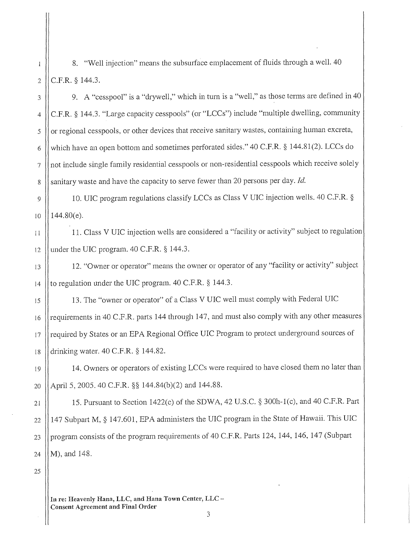8. "Well injection" means the subsurface emplacement of fluids through a well. 40 C.F.R. § 144.3.

9. A "cesspool" is a "drywell," which in turn is a "well," as those terms are defined in 40 C.F.R. § 144.3. "Large capacity cesspools" (or "LCCs") include "multiple dwelling, community or regional cesspools, or other devices that receive sanitary wastes, containing human excreta, which have an open bottom and sometimes perforated sides." 40 C.F.R. § 144.81(2). LCCs do not include single family residential cesspools or non-residential cesspools which receive solely sanitary waste and have the capacity to serve fewer than 20 persons per day. *Id.* 

9 JO 10. UIC program regulations classify LCCs as Class V UIC injection wells. 40 C.F.R. § 144.80(e).

11 12 11. Class V UIC injection wells are considered a "facility or activity" subject to regulation under the UIC program. 40 C.F.R. § 144.3.

12. "Owner or operator" means the owner or operator of any "facility or activity" subject to regulation under the UIC program. 40 C.F.R. § 144.3.

15 16 17 18 13. The "owner or operator" of a Class V UIC well must comply with Federal UIC requirements in 40 C.F.R. parts 144 through 147, and must also comply with any other measures required by States or an EPA Regional Office UIC Program to protect underground sources of drinking water. 40 C.F.R. § 144.82.

14. Owners or operators of existing LCCs were required to have closed them no later than April 5, 2005. 40 C.F.R. §§ 144.84(b)(2) and 144.88.

21 22 23 24 15. Pursuant to Section 1422(c) of the SDWA, 42 U.S.C. § 300h-l(c), and 40 C.F.R. Part 147 Subpart M, § 147.601, EPA administers the UIC program in the State of Hawaii. This DIC program consists of the program requirements of 40 C.F.R. Parts 124, 144, 146, 147 (Subpart M), and 148.

25

2

 $\overline{1}$ 

3

4

5

6

7

8

13

14

I 9

20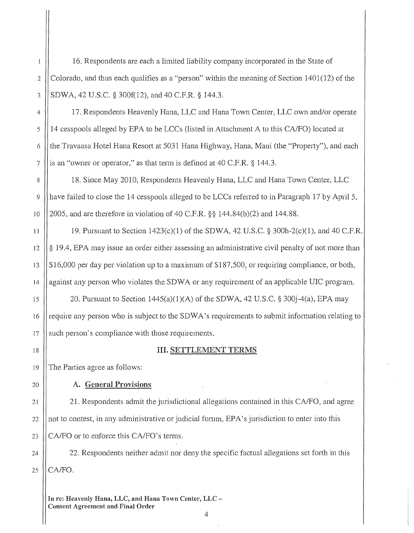16. Respondents are each a limited liability company incorporated in the State of Colorado, and thus each qualifies as a "person" within the meaning of Section 1401(12) of the SDWA, 42 U.S.C. § 300f(12), and 40 C.F.R. § 144.3.

17. Respondents Heavenly Hana, LLC and Hana Town Center, LLC own and/or operate 14 cesspools alleged by EPA to be LCCs (listed in Attachment A to this CA/FO) located at the Travaasa Hotel Hana Resort at 5031 Hana Highway, Hana, Maui (the "Property"), and each is an "owner or operator," as that term is defined at 40 C.F.R. § 144.3.

18. Since May 2010, Respondents Heavenly Hana, LLC and Hana Town Center, LLC have failed to close the 14 cesspools alleged to be LCCs referred to in Paragraph 17 by April 5, 2005, and are therefore in violation of 40 C.F.R. §§ 144.84(b)(2) and 144.88.

19. Pursuant to Section 1423(c)(l) of the SDWA, 42 U.S.C. § 300h-2(c)(l), and 40 C.F.R. § 19.4, EPA may issue an order either assessing an administrative civil penalty of not more than \$16,000 per day per violation up to a maximum of \$187,500, or requiring compliance, or both, against any person who violates the SDWA or any requirement of an applicable UIC program.

20. Pursuant to Section  $1445(a)(1)(A)$  of the SDWA, 42 U.S.C. § 300 $i-4(a)$ , EPA may require any person who is subject to the SDWA's requirements to submit information relating to such person's compliance with those requirements.

18

20

19

15

16

17

14

### III. SETTLEMENT TERMS

The Parties agree as follows:

A. General Provisions

21 22 23 21. Respondents admit the jurisdictional allegations contained in this CA/FO, and agree not to contest, in any administrative *ot* judicial forum, EPA' s jurisdiction to enter into this CA/FO or to enforce this CA/FO's terms.

25 24 22. Respondents neither admit nor deny the specific factual allegations set forth in this CA/FO.

4

In re: Heavenly Hana, LLC, and Hana Town Center, LLC Consent Agreement and Final Order

*2*  3

 $\mathbf{1}$ 

5

6

7

8

9

4

10

11

12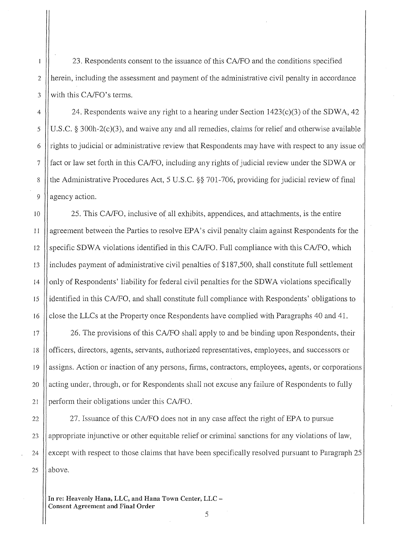23. Respondents consent to the issuance of this CA/FO and the conditions specified herein, including the assessment and payment of the administrative civil penalty in accordance with this CA/FO's terms.

24. Respondents waive any right to a hearing under Section  $1423(c)(3)$  of the SDWA, 42 U.S.C. § 300h-2(c)(3), and waive any and all remedies, claims for relief and otherwise available rights to judicial or administrative review that Respondents may have with respect to any issue o fact or law set forth in this CA/FO, including any rights of judicial review under the SDWA or the Administrative Procedures Act, 5 U.S.C. §§ 701-706, providing for judicial review of final agency action.

25. This CA/FO, inclusive of all exhibits, appendices, and attachments, is the entire agreement between the Parties to resolve EPA's civil penalty claim against Respondents for the specific SDWA violations identified in this CA/FO. Full compliance with this CA/FO, which includes payment of administrative civil penalties of \$187 ,500, shall constitute full settlement only of Respondents' liability for federal civil penalties for the SDWA violations specifically identified in this CA/FO, and shall constitute full compliance with Respondents' obligations to close the LLCs at the Property once Respondents have complied with Paragraphs 40 and 41.

26. The provisions of this CA/FO shall apply to and be binding upon Respondents, their officers, directors, agents, servants, authorized representatives, employees, and successors or assigns. Action or inaction of any persons, firms, contractors, employees, agents, or corporations acting under, through, or for Respondents shall not excuse any failure of Respondents to fully perform their obligations under this CA/FO.

27. Issuance of this CA/FO does not in any case affect the right of EPA to pursue appropriate injunctive or other equitable relief or criminal sanctions for any violations of law, except with respect to those claims that have been specifically resolved pursuant to Paragraph 25 above.

In re: Heavenly Hana, LLC, and Hana Town Center, LLC Consent Agreement and Final Order

25

24

5

6

7

 $\overline{2}$ 

 $\mathbf{1}$ 

3

4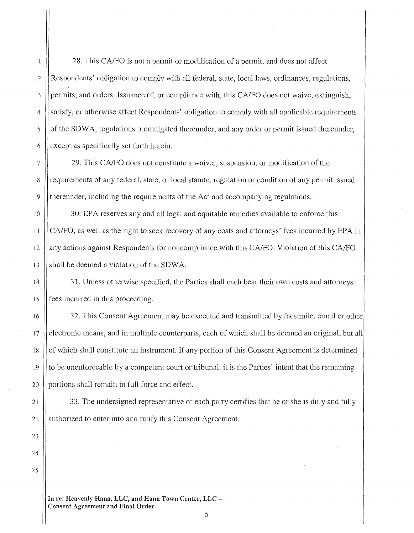28. This CA/FO is not a permit or modification of a permit, and does not affect Respondents' obligation to comply with all federal, state, local laws, ordinances, regulations, permits, and orders. Issuance of, or compliance with, this CA/FO does not waive, extinguish, satisfy, or otherwise affect Respondents' obligation to comply with all applicable requirements of the SDWA, regulations promulgated thereunder, and any order or permit issued thereunder, except as specifically set forth herein.

29. This CA/FO does not constitute a waiver, suspension, or modification of the requirements of any federal, state, or local statute, regulation or condition of any permit issued thereunder, including the requirements of the Act and accompanying regulations.

30. EPA reserves any and all legal and equitable remedies available to enforce this CA/FO, as well as the right to seek recovery of any costs and attorneys' fees incurred by EPA in any actions against Respondents for noncompliance with this CA/FO. Violation of this CA/FO shall be deemed a violation of the SDWA.

31. Unless otherwise specified, the Parties shall each bear their own costs and attorneys fees incurred in this proceeding.

32. This Consent Agreement may be executed and transmitted by facsimile, email or other electronic means, and in multiple counterparts, each of which shall be deemed an original, but all of which shall constitute an instrument. If any portion of this Consent Agreement is determined to be unenforceable by a competent court or tribunal, it is the Parties' intent that the remaining portions shall remain in full force and effect.

33. The undersigned representative of each party certifies that he or she is duly and fully authorized to enter into and ratify this Consent Agreement.

22 23 24

25

**In re: Heavenly Hana, LLC, and Hana Town Center, LLC Consent Agreement and Final Order**  6

15

16

17

18

19

20

21

 $\overline{2}$ 

 $\mathbf{1}$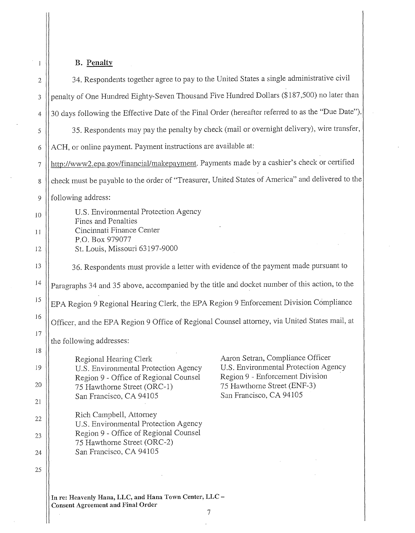# B. **Penalty**

 $\mathbf{1}$ 

| $\sqrt{2}$     | 34. Respondents together agree to pay to the United States a single administrative civil           |                                                                                           |
|----------------|----------------------------------------------------------------------------------------------------|-------------------------------------------------------------------------------------------|
| 3              | penalty of One Hundred Eighty-Seven Thousand Five Hundred Dollars (\$187,500) no later than        |                                                                                           |
| $\overline{4}$ | 30 days following the Effective Date of the Final Order (hereafter referred to as the "Due Date"). |                                                                                           |
| 5              |                                                                                                    | 35. Respondents may pay the penalty by check (mail or overnight delivery), wire transfer, |
| 6              | ACH, or online payment. Payment instructions are available at:                                     |                                                                                           |
| 7              | http://www2.epa.gov/financial/makepayment. Payments made by a cashier's check or certified         |                                                                                           |
| 8              | check must be payable to the order of "Treasurer, United States of America" and delivered to the   |                                                                                           |
| 9              | following address:                                                                                 |                                                                                           |
| 10             | U.S. Environmental Protection Agency<br>Fines and Penalties                                        |                                                                                           |
| 11             | Cincinnati Finance Center<br>P.O. Box 979077                                                       |                                                                                           |
| 12             | St. Louis, Missouri 63197-9000                                                                     |                                                                                           |
| 13             | 36. Respondents must provide a letter with evidence of the payment made pursuant to                |                                                                                           |
| 14             | Paragraphs 34 and 35 above, accompanied by the title and docket number of this action, to the      |                                                                                           |
| 15             | EPA Region 9 Regional Hearing Clerk, the EPA Region 9 Enforcement Division Compliance              |                                                                                           |
| 16             | Officer, and the EPA Region 9 Office of Regional Counsel attorney, via United States mail, at      |                                                                                           |
| 17             | the following addresses:                                                                           |                                                                                           |
| 18             | Regional Hearing Clerk                                                                             | Aaron Setran, Compliance Officer                                                          |
| 19             | U.S. Environmental Protection Agency                                                               | U.S. Environmental Protection Agency<br>Region 9 - Enforcement Division                   |
| 20             | Region 9 - Office of Regional Counsel<br>75 Hawthorne Street (ORC-1)                               | 75 Hawthorne Street (ENF-3)                                                               |
| 21             | San Francisco, CA 94105                                                                            | San Francisco, CA 94105                                                                   |
| 22             | Rich Campbell, Attorney<br>U.S. Environmental Protection Agency                                    |                                                                                           |
| 23             | Region 9 - Office of Regional Counsel<br>75 Hawthorne Street (ORC-2)                               |                                                                                           |
| 24             | San Francisco, CA 94105                                                                            |                                                                                           |
| 25             |                                                                                                    |                                                                                           |
|                |                                                                                                    |                                                                                           |

**In re: Heavenly Hana, LLC, and Hana Town Center, LLC Consent Agreement and Final Order** 

7  $\frac{1}{2}$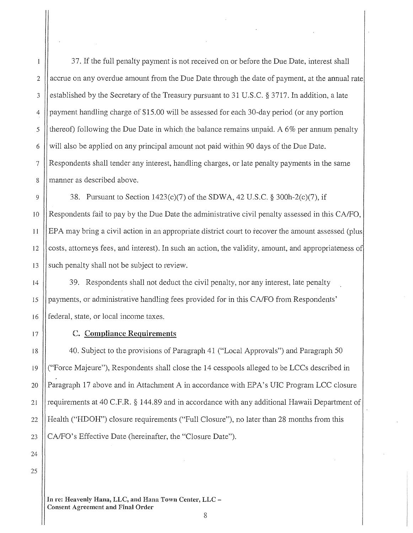5

6

4

2

 $\mathbf{1}$ 

3

37. If the full penalty payment is not received on or before the Due Date, interest shall accrue on any overdue amount from the Due Date through the date of payment, at the annual rate established by the Secretary of the Treasury pursuant to 31U.S.C.§3717. In addition, a late payment handling charge of \$15.00 will be assessed for each 30-day period (or any portion thereof) following the Due Date in which the balance remains unpaid. A 6% per annum penalty will also be applied on any principal amount not paid within 90 days of the Due Date. Respondents shall tender any interest, handling charges, or late penalty payments in the same manner as described above.

38. Pursuant to Section 1423(c)(7) of the SDWA, 42 U.S.C. § 300h-2(c)(7), if Respondents fail to pay by the Due Date the administrative civil penalty assessed in this CA/FO, EPA may bring a civil action in an appropriate district court to recover the amount assessed (plus costs, attorneys fees, and interest). In such an action, the validity, amount, and appropriateness of such penalty shall not be subject to review.

16 39. Respondents shall not deduct the civil penalty, nor any interest, late penalty payments, or administrative handling fees provided for in this CA/FO from Respondents' federal, state, or local income taxes.

# C. Compliance Requirements

40. Subject to the provisions of Paragraph 41 ("Local Approvals") and Paragraph 50 ("Force Majeure"), Respondents shall close the 14 cesspools alleged to be LCCs described in Paragraph 17 above and in Attachment A in accordance with EPA's UIC Program LCC closure requirements at 40 C.F.R. § 144.89 and in accordance with any additional Hawaii Department of Health ("HDOH") closure requirements ("Full Closure"), no later than 28 months from this CA/FO's Effective Date (hereinafter, the "Closure Date").

25

20

21

22

23

24

19

17

18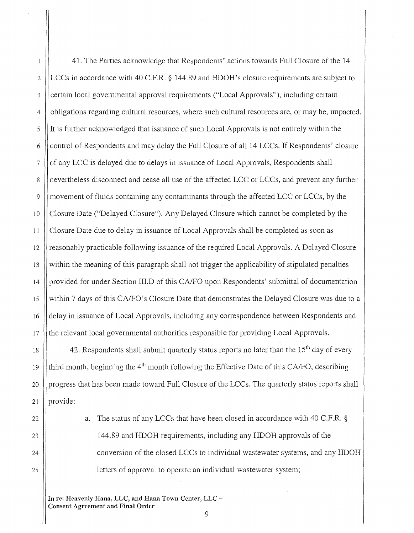41. The Parties acknowledge that Respondents' actions towards Full Closure of the 14  $\bar{1}$ LCCs in accordance with 40 C.F.R. § 144.89 and HDOH's closure requirements are subject to *2*  3 certain local governmental approval requirements ("Local Approvals"), including certain obligations regarding cultural resources, where such cultural resources are, or may be, impacted. 4 5 It is further acknowledged that issuance of such Local Approvals is not entirely within the control of Respondents and may delay the Full Closure of all 14 LCCs. If Respondents' closure 6 of any LCC is delayed due to delays in issuance of Local Approvals, Respondents shall 7 nevertheless disconnect and cease all use of the affected LCC or LCCs, and prevent any further 8  $\overline{Q}$ movement of fluids containing any contaminants through the affected LCC or LCCs, by the Closure Date ("Delayed Closure"). Any Delayed Closure which cannot be completed by the 10 11 Closure Date due to delay in issuance of Local Approvals shall be completed as soon as reasonably practicable following issuance of the required Local Approvals. A Delayed Closure 12 13 within the meaning of this paragraph shall not trigger the applicability of stipulated penalties provided for under Section III.D of this CA/FO upon Respondents' submittal of documentation 14 15 within 7 days of this CA/FO's Closure Date that demonstrates the Delayed Closure was due to a delay in issuance of Local Approvals, including any correspondence between Respondents and 16 the relevant local governmental authorities responsible for providing Local Approvals. 17

18 19 42. Respondents shall submit quarterly status reports no later than the  $15<sup>th</sup>$  day of every third month, beginning the  $4<sup>th</sup>$  month following the Effective Date of this CA/FO, describing progress that has been made toward Full Closure of the LCCs. The quarterly status reports shall provide:

> a. The status of any LCCs that have been closed in accordance with 40 C.F.R. § 144.89 and HDOH requirements, including any HDOH approvals of the conversion of the closed LCCs to individual wastewater systems, and any HDOH letters of approval to operate an individual wastewater system;

In re: Heavenly Hana, LLC, and Hana Town Center, LLC Consent Agreement and Final Order 9

20

21

*22* 

25

24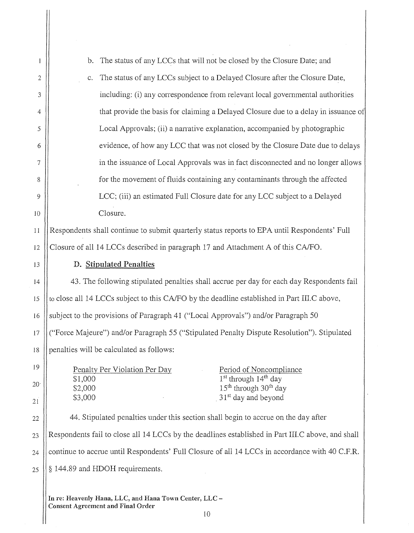|                 | The status of any LCCs that will not be closed by the Closure Date; and<br>b.                                       |  |
|-----------------|---------------------------------------------------------------------------------------------------------------------|--|
| 2               | The status of any LCCs subject to a Delayed Closure after the Closure Date,<br>$C_{\star}$                          |  |
| 3               | including: (i) any correspondence from relevant local governmental authorities                                      |  |
| 4               | that provide the basis for claiming a Delayed Closure due to a delay in issuance of                                 |  |
| 5               | Local Approvals; (ii) a narrative explanation, accompanied by photographic                                          |  |
| 6               | evidence, of how any LCC that was not closed by the Closure Date due to delays                                      |  |
| 7               | in the issuance of Local Approvals was in fact disconnected and no longer allows                                    |  |
| 8               | for the movement of fluids containing any contaminants through the affected                                         |  |
| 9               | LCC; (iii) an estimated Full Closure date for any LCC subject to a Delayed                                          |  |
| 10              | Closure.                                                                                                            |  |
| 11              | Respondents shall continue to submit quarterly status reports to EPA until Respondents' Full                        |  |
| 12              | Closure of all 14 LCCs described in paragraph 17 and Attachment A of this CA/FO.                                    |  |
| 13              | D. Stipulated Penalties                                                                                             |  |
| 14              | 43. The following stipulated penalties shall accrue per day for each day Respondents fail                           |  |
| 15              | to close all 14 LCCs subject to this CA/FO by the deadline established in Part III.C above,                         |  |
| 16              | subject to the provisions of Paragraph 41 ("Local Approvals") and/or Paragraph 50                                   |  |
| 17              | ("Force Majeure") and/or Paragraph 55 ("Stipulated Penalty Dispute Resolution"). Stipulated                         |  |
| 18              | penalties will be calculated as follows:                                                                            |  |
| 19              | Penalty Per Violation Per Day<br>Period of Noncompliance                                                            |  |
| 20 <sup>1</sup> | 1 <sup>st</sup> through 14 <sup>th</sup> day<br>\$1,000<br>15 <sup>th</sup> through 30 <sup>th</sup> day<br>\$2,000 |  |
| 21              | 31 <sup>st</sup> day and beyond<br>\$3,000                                                                          |  |
| 22              | 44. Stipulated penalties under this section shall begin to accrue on the day after                                  |  |
| 23              | Respondents fail to close all 14 LCCs by the deadlines established in Part III.C above, and shall                   |  |
| 24              | continue to accrue until Respondents' Full Closure of all 14 LCCs in accordance with 40 C.F.R.                      |  |
| 25              | § 144.89 and HDOH requirements.                                                                                     |  |
|                 |                                                                                                                     |  |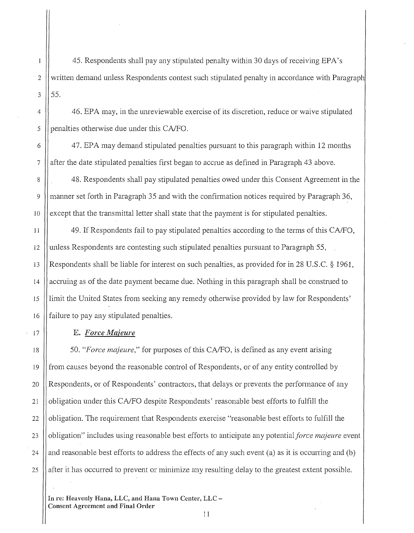45. Respondents shall pay any stipulated penalty within 30 days of receiving EPA's written demand unless Respondents contest such stipulated penalty in accordance with Paragraph 55.

46. EPA may, in the unreviewable exercise of its discretion, reduce or waive stipulated penalties otherwise due under this CA/FO.

47. EPA may demand stipulated penalties pursuant to this paragraph within 12 months after the date stipulated penalties first began to accrue as defined in Paragraph 43 above.

48. Respondents shall pay stipulated penalties owed under this Consent Agreement in the manner set forth in Paragraph 35 and with the confirmation notices required by Paragraph 36, except that the transmittal letter shall state that the payment is for stipulated penalties.

49. If Respondents fail to pay stipulated penalties according to the terms of this CA/FO, unless Respondents are contesting such stipulated penalties pursuant to Paragraph 55, Respondents shall be liable for interest on such penalties, as provided for in 28 U.S.C. § 1961, accruing as of the date payment became due. Nothing in this paragraph shall be construed to limit the United States from seeking any remedy otherwise provided by law for Respondents' failure to pay any stipulated penalties.

### E. *Force Majeure*

50. *"Force majeure,"* for purposes of this CA/FO, is defined as any event arising from causes beyond the reasonable control of Respondents, or of any entity controlled by Respondents, or of Respondents' contractors, that delays or prevents the performance of any obligation under this CA/FO despite Respondents' reasonable best efforts to fulfill the obligation. The requirement that Respondents exercise "reasonable best efforts to fulfill the obligation" includes using reasonable best efforts to anticipate any potential *force majeure* event and reasonable best efforts to address the effects of any such event (a) as it is occurring and (b) after it has occurred to prevent or minimize any resulting delay to the greatest extent possible.

In re: Heavenly Hana, LLC, and Hana Town Center, LLC Consent Agreement and Final Order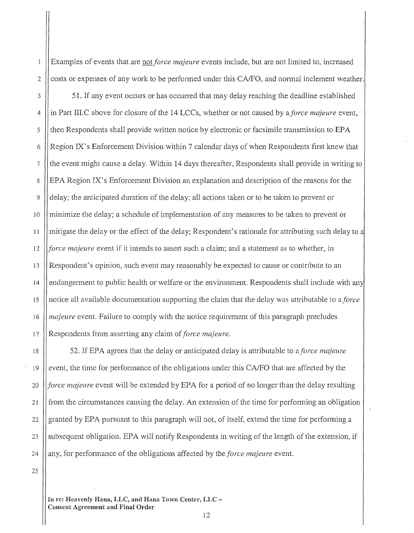Examples of events that are not *force majeure* events include, but are not limited to, increased costs or expenses of any work to be performed under this CA/FO, and normal inclement weather.

3 4 5 6 7 8 9  $10$ 12 51. If any event occurs or has occurred that may delay reaching the deadline established in Part III.C above for closure of the 14 LCCs, whether or not caused by a *force majeure* event, then Respondents shall provide written notice by electronic or facsimile transmission to EPA Region IX' s Enforcement Division within 7 calendar days of when Respondents first knew that the event might cause a delay. Within 14 days thereafter, Respondents shall provide in writing to EPA Region IX's Enforcement Division an explanation and description of the reasons for the delay; the anticipated duration of the delay; all actions taken or to be taken to prevent or minimize the delay; a schedule of implementation of any measures to be taken to prevent or mitigate the delay or the effect of the delay; Respondent's rationale for attributing such delay to *force majeure* event if it intends to assert such a claim; and a statement as to whether, in Respondent's opinion, such event may reasonably be expected to cause or contribute to an endangerment to public health or welfare or the environment. Respondents shall include with any notice all available documentation supporting the claim that the delay was attributable to *aforce majeure* event. Failure to comply with the notice requirement of this paragraph precludes Respondents from asserting any claim of *force majeure*.

18 19 20 21 *22*  23 24 52. If EPA agrees that the delay or anticipated delay is attributable to a *force majeure*  event, the time for performance of the obligations under this CA/FO that are affected by the *force majeure* event will be extended by EPA for a period of no longer than the delay resulting from the circumstances causing the delay. An extension of the time for perfonning an obligation granted by EPA pursuant to this paragraph will not, of itself, extend the time for performing a subsequent obligation. EPA will notify Respondents in writing of the length of the extension, if any, for performance of the obligations affected by the *force majeure* event.

25

*2* 

 $\mathbf{I}$ 

11

13

14

15

16

17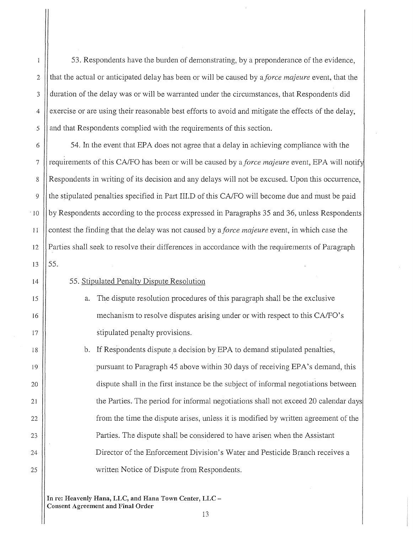53. Respondents have the burden of demonstrating, by a preponderance of the evidence, that the actual or anticipated delay has been or will be caused by *aforce majeure* event, that the duration of the delay was or will be warranted under the circumstances, that Respondents did exercise or are using their reasonable best efforts to avoid and mitigate the effects of the delay, and that Respondents complied with the requirements of this section.

 $\cdot$  10 54. In the event that EPA does not agree that a delay in achieving compliance with the requirements of this CA/FO has been or will be caused by a *force majeure* event, EPA will notif Respondents in writing of its decision and any delays will not be excused. Upon this occurrence, the stipulated penalties specified in Part III.D of this CA/FO will become due and must be paid by Respondents according to the process expressed in Paragraphs 35 and 36, unless Respondents contest the finding that the delay was not caused by *aforce majeure* event, in which case the Parties shall seek to resolve their differences in accordance with the requirements of Paragraph 55.

14

15

16

17

18

19

20

21

22

23

25

24

## 55. Stipulated Penalty Dispute Resolution

- a. The dispute resolution procedures of this paragraph shall be the exclusive mechanism to resolve disputes arising under or with respect to this CA/FO's stipulated penalty provisions.
- b. If Respondents dispute a decision by EPA to demand stipulated penalties, pursuant to Paragraph 45 above within 30 days ofreceiving EPA's demand, this dispute shall in the first instance be the subject of informal negotiations between the Parties. The period for informal negotiations shall not exceed 20 calendar days from the time the dispute arises, unless it is modified by written agreement of the Parties. The dispute shall be considered to have arisen when the Assistant Director of the Enforcement Division's Water and Pesticide Branch receives a written Notice of Dispute from Respondents.

13

In re: Heavenly Hana, LLC, and Hana Town Center, LLC-Consent Agreement and **Final** Order

 $\mathbf{1}$ 

7

8

9

11

12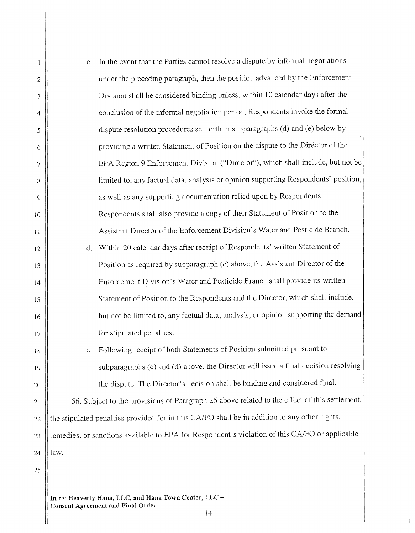| 1              | c.   | In the event that the Parties cannot resolve a dispute by informal negotiations                |
|----------------|------|------------------------------------------------------------------------------------------------|
| $\overline{2}$ |      | under the preceding paragraph, then the position advanced by the Enforcement                   |
| 3              |      | Division shall be considered binding unless, within 10 calendar days after the                 |
| 4              |      | conclusion of the informal negotiation period, Respondents invoke the formal                   |
| 5              |      | dispute resolution procedures set forth in subparagraphs (d) and (e) below by                  |
| 6              |      | providing a written Statement of Position on the dispute to the Director of the                |
| 7              |      | EPA Region 9 Enforcement Division ("Director"), which shall include, but not be                |
| 8              |      | limited to, any factual data, analysis or opinion supporting Respondents' position,            |
| 9              |      | as well as any supporting documentation relied upon by Respondents.                            |
| 10             |      | Respondents shall also provide a copy of their Statement of Position to the                    |
| 11             |      | Assistant Director of the Enforcement Division's Water and Pesticide Branch.                   |
| 12             | d.   | Within 20 calendar days after receipt of Respondents' written Statement of                     |
| 13             |      | Position as required by subparagraph (c) above, the Assistant Director of the                  |
| 14             |      | Enforcement Division's Water and Pesticide Branch shall provide its written                    |
| 15             |      | Statement of Position to the Respondents and the Director, which shall include,                |
| 16             |      | but not be limited to, any factual data, analysis, or opinion supporting the demand            |
| 17             |      | for stipulated penalties.                                                                      |
| 18             |      | Following receipt of both Statements of Position submitted pursuant to                         |
| 19             |      | subparagraphs (c) and (d) above, the Director will issue a final decision resolving            |
| 20             |      | the dispute. The Director's decision shall be binding and considered final.                    |
| 21             |      | 56. Subject to the provisions of Paragraph 25 above related to the effect of this settlement,  |
| 22             |      | the stipulated penalties provided for in this CA/FO shall be in addition to any other rights,  |
| 23             |      | remedies, or sanctions available to EPA for Respondent's violation of this CA/FO or applicable |
| 24             | law. |                                                                                                |
| 25             |      |                                                                                                |

 $\overline{\phantom{a}}$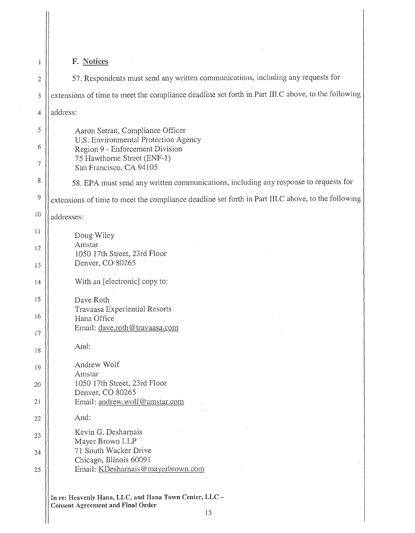| 1  | F. Notices                                                                                         |  |
|----|----------------------------------------------------------------------------------------------------|--|
| 2  | 57. Respondents must send any written communications, including any requests for                   |  |
| 3  | extensions of time to meet the compliance deadline set forth in Part III.C above, to the following |  |
| 4  | address:                                                                                           |  |
| 5  | Aaron Setran, Compliance Officer                                                                   |  |
| 6  | U.S. Environmental Protection Agency<br>Region 9 - Enforcement Division                            |  |
| 7  | 75 Hawthorne Street (ENF-1)<br>San Francisco, CA 94105                                             |  |
| 8  | 58. EPA must send any written communications, including any response to requests for               |  |
| 9  | extensions of time to meet the compliance deadline set forth in Part III.C above, to the following |  |
| 10 | addresses:                                                                                         |  |
| 11 | Doug Wiley                                                                                         |  |
| 12 | Amstar<br>1050 17th Street, 23rd Floor                                                             |  |
| 13 | Denver, CO 80265                                                                                   |  |
| 14 | With an [electronic] copy to:                                                                      |  |
| 15 | Dave Roth                                                                                          |  |
| 16 | Travaasa Experiential Resorts<br>Hana Office                                                       |  |
| 17 | Email: dave.roth@travaasa.com                                                                      |  |
| 18 | And:                                                                                               |  |
| 19 | Andrew Wolf                                                                                        |  |
| 20 | Amstar<br>1050 17th Street, 23rd Floor                                                             |  |
| 21 | Denver, CO 80265<br>Email: andrew.wolf@amstar.com                                                  |  |
| 22 | And:                                                                                               |  |
| 23 | Kevin G. Desharnais                                                                                |  |
| 24 | Mayer Brown LLP<br>71 South Wacker Drive                                                           |  |
| 25 | Chicago, Illinois 60091<br>Email: KDesharnais@mayerbrown.com                                       |  |
|    | In re: Heavenly Hana, LLC, and Hana Town Center, LLC-<br><b>Consent Agreement and Final Order</b>  |  |

 $\sim$   $\sim$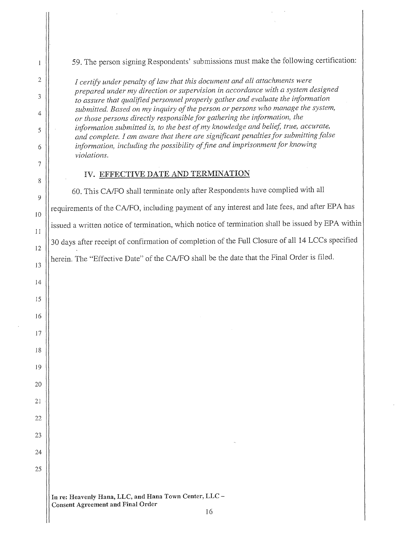59. The person signing Respondents' submissions must make the following certification:

*I certify under penalty of law that this document and all attachments were prepared under my direction or supervision in accordance with a system, designed to assure that qualified personnel properly gather and evaluate the information*  submitted. Based on my inquiry of the person or persons who manage the system, *or those persons directly responsible for gathering the information, the information submitted is, to the best ofmy knowledge and belief, true, accurate, and complete. I am aware that there are significant penalties for submitting false*  information, including the possibility of fine and imprisonment for knowing *violations.* 

### IV. EFFECTIVE DATE AND TERMINATION

5

6

7

8

9

2

 $\overline{1}$ 

3

4

10

l l

12

13

15

16

17

18

19

14

20

21

22

23

24

25

60. This CA/FO shall terminate only after Respondents have complied with all requirements of the CA/FO, including payment of any interest and late fees, and after EPA has issued a written notice of termination, which notice of termination shall be issued by EPA within 30 days after receipt of confirmation of completion of the Full Closure of all 14 LCCs specified herein. The "Effective Date" of the CA/FO shall be the date that the Final Order is filed.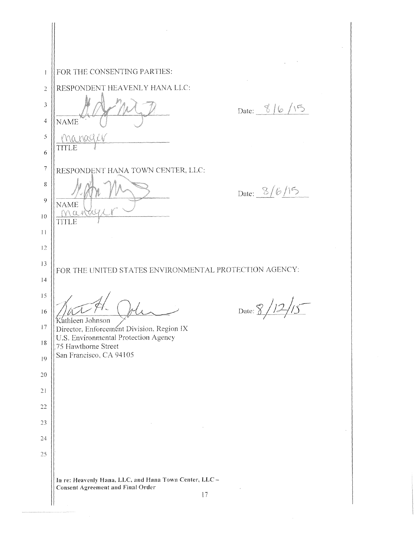$\mathbf{I}$ FOR THE CONSENTING PARTIES: RESPONDENT HEAVENLY HANA LLC: *2* 3 Date: 8/6/15 NAME 4 **5**  Manall TITLE 6 7 RESPONDENT HANA TOWN CENTER. LLC: 8 Date:  $\frac{8}{6}/5$ 9 **NAME**  $Max$ 10 TITLE I I 12 13 FOR THE UNITED STATES ENVIRONMENTAL PROTECTION AGENCY: 14 15 Date:  $\frac{8}{12}\frac{1}{5}$ 16  $~$ Kathleen Johnson 17 Director, Enforcement Division, Region IX U.S. Environmental Protection Agency 18 .75 Hawthorne Street San Francisco. CA 94105 19 20 21 22 23 *24* 25 **In** re: Heavenly Hana, LLC. and Hana Town Center, LLC Consent Agreement **and** Final Order 17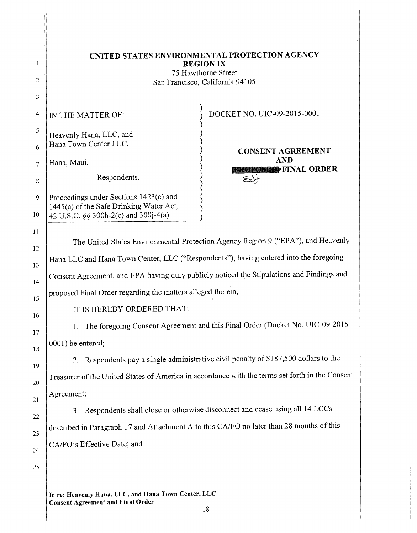| UNITED STATES ENVIRONMENTAL PROTECTION AGENCY |
|-----------------------------------------------|
| <b>REGION IX</b>                              |
| 75 Hawthorne Street                           |
| San Francisco, California 94105               |

)

)

) )

) ) )

)

IN THE MATTER OF:

Heavenly Hana, LLC, and Hana Town Center LLC,

7 Hana, Maui,

*5* 

6

8

9

4

2

 $\mathbf{1}$ 

3

10

11

12

13

15

16

17

18

19

14

20

21

22

23

24

*25* 

Respondents.

) DOCKET NO. UIC-09-2015-0001

) CONSENT AGREEMENT AND **EXPLOSED**FINAL ORDER

Proceedings under Sections 1423(c) and ) 1445(a) of the Safe Drinking Water Act,  $42~U.S.C.$  §§ 300h-2(c) and 300 $j-4(a)$ .

The United States Environmental Protection Agency Region 9 ("EPA"), and Heavenly Hana LLC and Hana Town Center, LLC ("Respondents"), having entered into the foregoing Consent Agreement, and EPA having duly publicly noticed the Stipulations and Findings and proposed Final Order regarding the matters alleged therein,

# IT IS HEREBY ORDERED THAT:

1. The foregoing Consent Agreement and this Final Order (Docket No. UIC-09-2015 0001) be entered;

2. Respondents pay a single administrative civil penalty of \$187,500 dollars to the Treasurer of the United States of America in accordance with the terms set forth in the Consent Agreement;

3. Respondents shall close or otherwise disconnect and cease using all 14 LCCs described in Paragraph 17 and Attachment A to this CA/FO no later than 28 months of this CA/FO's Effective Date; and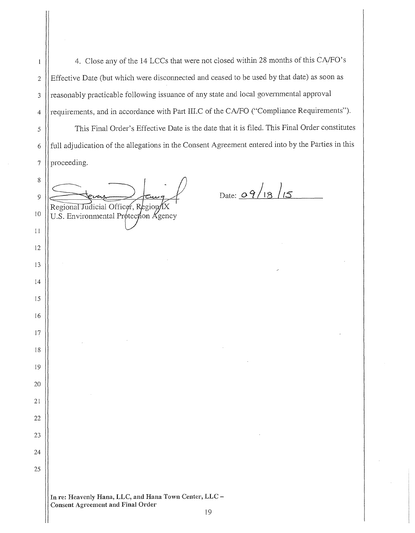4. Close any of the 14 LCCs that were not closed within 28 months of this CA/FO's Effective Date (but which were disconnected and ceased to be used by that date) as soon as reasonably practicable following issuance of any state and local governmental approval requirements, and in accordance with Part III.C of the CA/FO ("Compliance Requirements"). This Final Order's Effective Date is the date that it is filed. This Final Order constitutes full adjudication of the allegations in the Consent Agreement entered into by the Parties in this proceeding.

 Regional Judicial Officer, U.S. Environmental Protection Agency

 $\mathbf{1}$ 

 $_{\text{Date: } 9\frac{9}{18} \sqrt{5}}$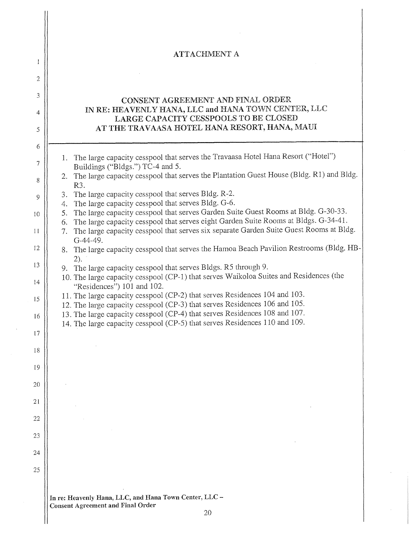|         | <b>ATTACHMENT A</b>                                                                                                                                      |
|---------|----------------------------------------------------------------------------------------------------------------------------------------------------------|
| 1       |                                                                                                                                                          |
| 2       |                                                                                                                                                          |
| 3       | CONSENT AGREEMENT AND FINAL ORDER                                                                                                                        |
| 4       | IN RE: HEAVENLY HANA, LLC and HANA TOWN CENTER, LLC<br>LARGE CAPACITY CESSPOOLS TO BE CLOSED                                                             |
| 5       | AT THE TRAVAASA HOTEL HANA RESORT, HANA, MAUI                                                                                                            |
| 6       |                                                                                                                                                          |
| 7       | 1. The large capacity cesspool that serves the Travaasa Hotel Hana Resort ("Hotel")<br>Buildings ("Bldgs.") TC-4 and 5.                                  |
| 8       | The large capacity cesspool that serves the Plantation Guest House (Bldg. R1) and Bldg.<br>2.<br>R <sub>3</sub> .                                        |
| 9       | The large capacity cesspool that serves Bldg. R-2.<br>3.                                                                                                 |
| 10      | The large capacity cesspool that serves Bldg. G-6.<br>4.<br>The large capacity cesspool that serves Garden Suite Guest Rooms at Bldg. G-30-33.<br>5.     |
|         | The large capacity cesspool that serves eight Garden Suite Rooms at Bldgs. G-34-41.<br>6.                                                                |
| 11      | The large capacity cesspool that serves six separate Garden Suite Guest Rooms at Bldg.<br>7.<br>G-44-49.                                                 |
| 12      | 8. The large capacity cesspool that serves the Hamoa Beach Pavilion Restrooms (Bldg. HB-<br>2).                                                          |
| 13      | 9. The large capacity cesspool that serves Bldgs. R5 through 9.                                                                                          |
| $^{14}$ | 10. The large capacity cesspool (CP-1) that serves Waikoloa Suites and Residences (the<br>"Residences") 101 and 102.                                     |
| 15      | 11. The large capacity cesspool (CP-2) that serves Residences 104 and 103.<br>12. The large capacity cesspool (CP-3) that serves Residences 106 and 105. |
| 16      | 13. The large capacity cesspool (CP-4) that serves Residences 108 and 107.                                                                               |
| 17      | 14. The large capacity cesspool (CP-5) that serves Residences 110 and 109.                                                                               |
| 18      |                                                                                                                                                          |
|         |                                                                                                                                                          |
| 19      |                                                                                                                                                          |
| 20      |                                                                                                                                                          |
| 21      |                                                                                                                                                          |
| 22      |                                                                                                                                                          |
| 23      |                                                                                                                                                          |
| 24      |                                                                                                                                                          |
| 25      |                                                                                                                                                          |
|         |                                                                                                                                                          |
|         | In re: Heavenly Hana, LLC, and Hana Town Center, LLC -<br><b>Consent Agreement and Final Order</b>                                                       |
|         | 20                                                                                                                                                       |
|         |                                                                                                                                                          |